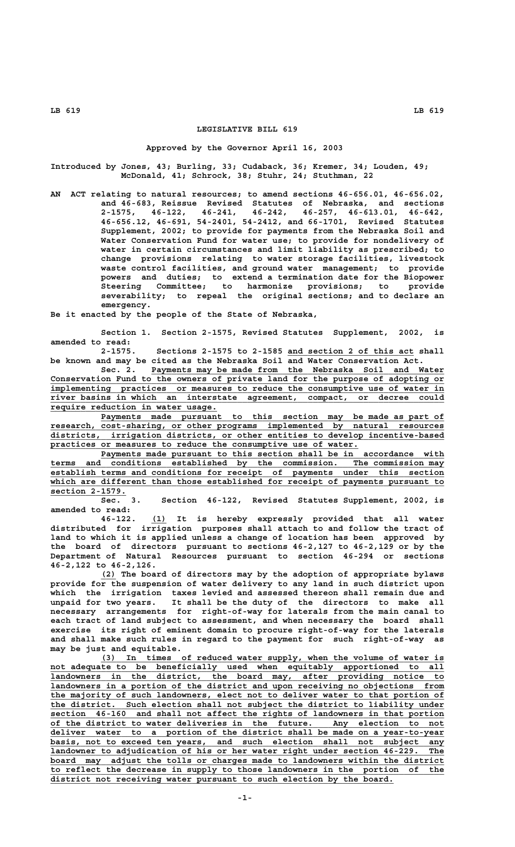# **LEGISLATIVE BILL 619**

#### **Approved by the Governor April 16, 2003**

**Introduced by Jones, 43; Burling, 33; Cudaback, 36; Kremer, 34; Louden, 49; McDonald, 41; Schrock, 38; Stuhr, 24; Stuthman, 22**

**AN ACT relating to natural resources; to amend sections 46-656.01, 46-656.02, and 46-683, Reissue Revised Statutes of Nebraska, and sections 2-1575, 46-122, 46-241, 46-242, 46-257, 46-613.01, 46-642, 46-656.12, 46-691, 54-2401, 54-2412, and 66-1701, Revised Statutes Supplement, 2002; to provide for payments from the Nebraska Soil and Water Conservation Fund for water use; to provide for nondelivery of water in certain circumstances and limit liability as prescribed; to change provisions relating to water storage facilities, livestock waste control facilities, and ground water management; to provide powers and duties; to extend a termination date for the Biopower Steering Committee; to harmonize provisions; to provide severability; to repeal the original sections; and to declare an emergency.**

**Be it enacted by the people of the State of Nebraska,**

**Section 1. Section 2-1575, Revised Statutes Supplement, 2002, is amended to read:**

**2-1575. Sections 2-1575 to 2-1585 and section 2 of this act shall \_\_\_\_\_\_\_\_\_\_\_\_\_\_\_\_\_\_\_\_\_\_\_\_\_ be known and may be cited as the Nebraska Soil and Water Conservation Act.**

 **\_\_\_\_\_\_\_\_\_\_\_\_\_\_\_\_\_\_\_\_\_\_\_\_\_\_\_\_\_\_\_\_\_\_\_\_\_\_\_\_\_\_\_\_\_\_\_\_\_\_\_\_\_\_\_\_\_\_ Sec. 2. Payments may be made from the Nebraska Soil and Water \_\_\_\_\_\_\_\_\_\_\_\_\_\_\_\_\_\_\_\_\_\_\_\_\_\_\_\_\_\_\_\_\_\_\_\_\_\_\_\_\_\_\_\_\_\_\_\_\_\_\_\_\_\_\_\_\_\_\_\_\_\_\_\_\_\_\_\_\_\_\_\_\_\_\_\_\_\_ Conservation Fund to the owners of private land for the purpose of adopting or \_\_\_\_\_\_\_\_\_\_\_\_\_\_\_\_\_\_\_\_\_\_\_\_\_\_\_\_\_\_\_\_\_\_\_\_\_\_\_\_\_\_\_\_\_\_\_\_\_\_\_\_\_\_\_\_\_\_\_\_\_\_\_\_\_\_\_\_\_\_\_\_\_\_\_\_\_\_ implementing practices or measures to reduce the consumptive use of water in \_\_\_\_\_\_\_\_\_\_\_\_\_\_\_\_\_\_\_\_\_\_\_\_\_\_\_\_\_\_\_\_\_\_\_\_\_\_\_\_\_\_\_\_\_\_\_\_\_\_\_\_\_\_\_\_\_\_\_\_\_\_\_\_\_\_\_\_\_\_\_\_\_\_\_\_\_\_ river basins in which an interstate agreement, compact, or decree could \_\_\_\_\_\_\_\_\_\_\_\_\_\_\_\_\_\_\_\_\_\_\_\_\_\_\_\_\_\_\_\_\_ require reduction in water usage.**

 **\_\_\_\_\_\_\_\_\_\_\_\_\_\_\_\_\_\_\_\_\_\_\_\_\_\_\_\_\_\_\_\_\_\_\_\_\_\_\_\_\_\_\_\_\_\_\_\_\_\_\_\_\_\_\_\_\_\_\_\_\_\_\_\_\_\_\_\_ Payments made pursuant to this section may be made as part of \_\_\_\_\_\_\_\_\_\_\_\_\_\_\_\_\_\_\_\_\_\_\_\_\_\_\_\_\_\_\_\_\_\_\_\_\_\_\_\_\_\_\_\_\_\_\_\_\_\_\_\_\_\_\_\_\_\_\_\_\_\_\_\_\_\_\_\_\_\_\_\_\_\_\_\_\_\_ research, cost-sharing, or other programs implemented by natural resources \_\_\_\_\_\_\_\_\_\_\_\_\_\_\_\_\_\_\_\_\_\_\_\_\_\_\_\_\_\_\_\_\_\_\_\_\_\_\_\_\_\_\_\_\_\_\_\_\_\_\_\_\_\_\_\_\_\_\_\_\_\_\_\_\_\_\_\_\_\_\_\_\_\_\_\_\_\_ districts, irrigation districts, or other entities to develop incentive-based \_\_\_\_\_\_\_\_\_\_\_\_\_\_\_\_\_\_\_\_\_\_\_\_\_\_\_\_\_\_\_\_\_\_\_\_\_\_\_\_\_\_\_\_\_\_\_\_\_\_\_\_\_\_\_\_\_\_\_\_\_ practices or measures to reduce the consumptive use of water.**

> Payments made pursuant to this section shall be in accordance with  **\_\_\_\_\_\_\_\_\_\_\_\_\_\_\_\_\_\_\_\_\_\_\_\_\_\_\_\_\_\_\_\_\_\_\_\_\_\_\_\_\_\_\_\_\_\_\_\_\_\_\_\_\_\_\_\_\_\_\_\_\_\_\_\_\_\_\_\_\_\_\_\_\_\_\_\_\_\_ terms and conditions established by the commission. The commission may \_\_\_\_\_\_\_\_\_\_\_\_\_\_\_\_\_\_\_\_\_\_\_\_\_\_\_\_\_\_\_\_\_\_\_\_\_\_\_\_\_\_\_\_\_\_\_\_\_\_\_\_\_\_\_\_\_\_\_\_\_\_\_\_\_\_\_\_\_\_\_\_\_\_\_\_\_\_ establish terms and conditions for receipt of payments under this section** which are different than those established for receipt of payments pursuant to **which are -**<br> **section 2-1579.**<br> **Sec.** 3.

> Section 46-122, Revised Statutes Supplement, 2002, is **amended to read:**

 **\_\_\_ 46-122. (1) It is hereby expressly provided that all water distributed for irrigation purposes shall attach to and follow the tract of land to which it is applied unless a change of location has been approved by the board of directors pursuant to sections 46-2,127 to 46-2,129 or by the Department of Natural Resources pursuant to section 46-294 or sections 46-2,122 to 46-2,126.**

> **\_\_\_ (2) The board of directors may by the adoption of appropriate bylaws provide for the suspension of water delivery to any land in such district upon which the irrigation taxes levied and assessed thereon shall remain due and unpaid for two years. It shall be the duty of the directors to make all necessary arrangements for right-of-way for laterals from the main canal to each tract of land subject to assessment, and when necessary the board shall exercise its right of eminent domain to procure right-of-way for the laterals and shall make such rules in regard to the payment for such right-of-way as may be just and equitable.**

 **\_\_\_\_\_\_\_\_\_\_\_\_\_\_\_\_\_\_\_\_\_\_\_\_\_\_\_\_\_\_\_\_\_\_\_\_\_\_\_\_\_\_\_\_\_\_\_\_\_\_\_\_\_\_\_\_\_\_\_\_\_\_\_\_\_\_\_\_ (3) In times of reduced water supply, when the volume of water is \_\_\_\_\_\_\_\_\_\_\_\_\_\_\_\_\_\_\_\_\_\_\_\_\_\_\_\_\_\_\_\_\_\_\_\_\_\_\_\_\_\_\_\_\_\_\_\_\_\_\_\_\_\_\_\_\_\_\_\_\_\_\_\_\_\_\_\_\_\_\_\_\_\_\_\_\_\_ not adequate to be beneficially used when equitably apportioned to all \_\_\_\_\_\_\_\_\_\_\_\_\_\_\_\_\_\_\_\_\_\_\_\_\_\_\_\_\_\_\_\_\_\_\_\_\_\_\_\_\_\_\_\_\_\_\_\_\_\_\_\_\_\_\_\_\_\_\_\_\_\_\_\_\_\_\_\_\_\_\_\_\_\_\_\_\_\_ landowners in the district, the board may, after providing notice to \_\_\_\_\_\_\_\_\_\_\_\_\_\_\_\_\_\_\_\_\_\_\_\_\_\_\_\_\_\_\_\_\_\_\_\_\_\_\_\_\_\_\_\_\_\_\_\_\_\_\_\_\_\_\_\_\_\_\_\_\_\_\_\_\_\_\_\_\_\_\_\_\_\_\_\_\_\_ landowners in a portion of the district and upon receiving no objections from \_\_\_\_\_\_\_\_\_\_\_\_\_\_\_\_\_\_\_\_\_\_\_\_\_\_\_\_\_\_\_\_\_\_\_\_\_\_\_\_\_\_\_\_\_\_\_\_\_\_\_\_\_\_\_\_\_\_\_\_\_\_\_\_\_\_\_\_\_\_\_\_\_\_\_\_\_\_ the majority of such landowners, elect not to deliver water to that portion of \_\_\_\_\_\_\_\_\_\_\_\_\_\_\_\_\_\_\_\_\_\_\_\_\_\_\_\_\_\_\_\_\_\_\_\_\_\_\_\_\_\_\_\_\_\_\_\_\_\_\_\_\_\_\_\_\_\_\_\_\_\_\_\_\_\_\_\_\_\_\_\_\_\_\_\_\_\_ the district. Such election shall not subject the district to liability under \_\_\_\_\_\_\_\_\_\_\_\_\_\_\_\_\_\_\_\_\_\_\_\_\_\_\_\_\_\_\_\_\_\_\_\_\_\_\_\_\_\_\_\_\_\_\_\_\_\_\_\_\_\_\_\_\_\_\_\_\_\_\_\_\_\_\_\_\_\_\_\_\_\_\_\_\_\_ section 46-160 and shall not affect the rights of landowners in that portion \_\_\_\_\_\_\_\_\_\_\_\_\_\_\_\_\_\_\_\_\_\_\_\_\_\_\_\_\_\_\_\_\_\_\_\_\_\_\_\_\_\_\_\_\_\_\_\_\_\_\_\_\_\_\_\_\_\_\_\_\_\_\_\_\_\_\_\_\_\_\_\_\_\_\_\_\_\_ of the district to water deliveries in the future. Any election to not \_\_\_\_\_\_\_\_\_\_\_\_\_\_\_\_\_\_\_\_\_\_\_\_\_\_\_\_\_\_\_\_\_\_\_\_\_\_\_\_\_\_\_\_\_\_\_\_\_\_\_\_\_\_\_\_\_\_\_\_\_\_\_\_\_\_\_\_\_\_\_\_\_\_\_\_\_\_ deliver water to a portion of the district shall be made on a year-to-year \_\_\_\_\_\_\_\_\_\_\_\_\_\_\_\_\_\_\_\_\_\_\_\_\_\_\_\_\_\_\_\_\_\_\_\_\_\_\_\_\_\_\_\_\_\_\_\_\_\_\_\_\_\_\_\_\_\_\_\_\_\_\_\_\_\_\_\_\_\_\_\_\_\_\_\_\_\_ basis, not to exceed ten years, and such election shall not subject any \_\_\_\_\_\_\_\_\_\_\_\_\_\_\_\_\_\_\_\_\_\_\_\_\_\_\_\_\_\_\_\_\_\_\_\_\_\_\_\_\_\_\_\_\_\_\_\_\_\_\_\_\_\_\_\_\_\_\_\_\_\_\_\_\_\_\_\_\_\_\_\_\_\_\_\_\_\_ landowner to adjudication of his or her water right under section 46-229. The** board may adjust the tolls or charges made to landowners within the district  **\_\_\_\_\_\_\_\_\_\_\_\_\_\_\_\_\_\_\_\_\_\_\_\_\_\_\_\_\_\_\_\_\_\_\_\_\_\_\_\_\_\_\_\_\_\_\_\_\_\_\_\_\_\_\_\_\_\_\_\_\_\_\_\_\_\_\_\_\_\_\_\_\_\_\_\_\_\_ to reflect the decrease in supply to those landowners in the portion of the \_\_\_\_\_\_\_\_\_\_\_\_\_\_\_\_\_\_\_\_\_\_\_\_\_\_\_\_\_\_\_\_\_\_\_\_\_\_\_\_\_\_\_\_\_\_\_\_\_\_\_\_\_\_\_\_\_\_\_\_\_\_\_\_\_\_\_\_ district not receiving water pursuant to such election by the board.**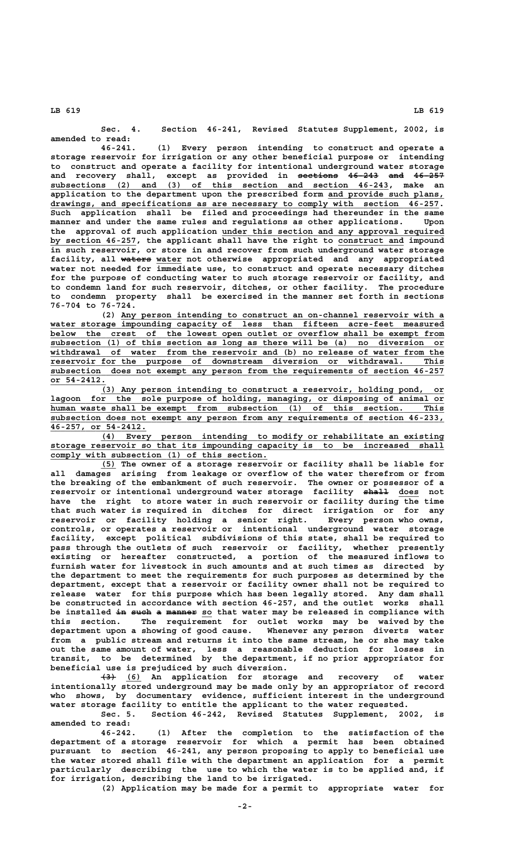**Sec. 4. Section 46-241, Revised Statutes Supplement, 2002, is amended to read:**

**46-241. (1) Every person intending to construct and operate a storage reservoir for irrigation or any other beneficial purpose or intending to construct and operate a facility for intentional underground water storage** and recovery shall, except as provided in <del>sections 46-243 and 46-257</del>  **\_\_\_\_\_\_\_\_\_\_\_\_\_\_\_\_\_\_\_\_\_\_\_\_\_\_\_\_\_\_\_\_\_\_\_\_\_\_\_\_\_\_\_\_\_\_\_\_\_\_\_\_\_\_\_\_\_\_\_\_\_\_\_\_\_\_\_ subsections (2) and (3) of this section and section 46-243, make an application to the department upon the prescribed form and provide such plans, \_\_\_\_\_\_\_\_\_\_\_\_\_\_\_\_\_\_\_\_\_\_\_** drawings, and specifications as are necessary to comply with section 46-257. **Such application shall be filed and proceedings had thereunder in the same manner and under the same rules and regulations as other applications. Upon \_\_\_\_\_\_\_\_\_\_\_\_\_\_\_\_\_\_\_\_\_\_\_\_\_\_\_\_\_\_\_\_\_\_\_\_\_\_\_\_\_\_\_\_ the approval of such application under this section and any approval required** by section 46-257, the applicant shall have the right to construct and impound **in such reservoir, or store in and recover from such underground water storage** facility, all waters water not otherwise appropriated and any appropriated **water not needed for immediate use, to construct and operate necessary ditches for the purpose of conducting water to such storage reservoir or facility, and to condemn land for such reservoir, ditches, or other facility. The procedure to condemn property shall be exercised in the manner set forth in sections 76-704 to 76-724.**

 **\_\_\_\_\_\_\_\_\_\_\_\_\_\_\_\_\_\_\_\_\_\_\_\_\_\_\_\_\_\_\_\_\_\_\_\_\_\_\_\_\_\_\_\_\_\_\_\_\_\_\_\_\_\_\_\_\_\_\_\_\_\_\_\_ (2) Any person intending to construct an on-channel reservoir with a** water storage impounding capacity of less than fifteen acre-feet measured<br>below the crest of the lowest open outlet or overflow shall be exempt from  **\_\_\_\_\_\_\_\_\_\_\_\_\_\_\_\_\_\_\_\_\_\_\_\_\_\_\_\_\_\_\_\_\_\_\_\_\_\_\_\_\_\_\_\_\_\_\_\_\_\_\_\_\_\_\_\_\_\_\_\_\_\_\_\_\_\_\_\_\_\_\_\_\_\_\_\_\_\_ below the crest of the lowest open outlet or overflow shall be exempt from \_\_\_\_\_\_\_\_\_\_\_\_\_\_\_\_\_\_\_\_\_\_\_\_\_\_\_\_\_\_\_\_\_\_\_\_\_\_\_\_\_\_\_\_\_\_\_\_\_\_\_\_\_\_\_\_\_\_\_\_\_\_\_\_\_\_\_\_\_\_\_\_\_\_\_\_\_\_ subsection (1) of this section as long as there will be (a) no diversion or \_\_\_\_\_\_\_\_\_\_\_\_\_\_\_\_\_\_\_\_\_\_\_\_\_\_\_\_\_\_\_\_\_\_\_\_\_\_\_\_\_\_\_\_\_\_\_\_\_\_\_\_\_\_\_\_\_\_\_\_\_\_\_\_\_\_\_\_\_\_\_\_\_\_\_\_\_\_ withdrawal of water from the reservoir and (b) no release of water from the**  $r$ eservoir for the purpose of downstream diversion or withdrawal. This subsection does not exempt any person from the requirements of section 46-257  **or 54-2412. \_\_\_\_\_\_\_\_\_\_\_**

 **\_\_\_\_\_\_\_\_\_\_\_\_\_\_\_\_\_\_\_\_\_\_\_\_\_\_\_\_\_\_\_\_\_\_\_\_\_\_\_\_\_\_\_\_\_\_\_\_\_\_\_\_\_\_\_\_\_\_\_\_\_\_\_\_\_\_\_\_ (3) Any person intending to construct a reservoir, holding pond, or** lagoon for the sole purpose of holding, managing, or disposing of animal or  **\_\_\_\_\_\_\_\_\_\_\_\_\_\_\_\_\_\_\_\_\_\_\_\_\_\_\_\_\_\_\_\_\_\_\_\_\_\_\_\_\_\_\_\_\_\_\_\_\_\_\_\_\_\_\_\_\_\_\_\_\_\_\_\_\_\_\_\_\_\_\_\_\_\_\_\_\_\_ human waste shall be exempt from subsection (1) of this section. This \_\_\_\_\_\_\_\_\_\_\_\_\_\_\_\_\_\_\_\_\_\_\_\_\_\_\_\_\_\_\_\_\_\_\_\_\_\_\_\_\_\_\_\_\_\_\_\_\_\_\_\_\_\_\_\_\_\_\_\_\_\_\_\_\_\_\_\_\_\_\_\_\_\_\_\_\_\_ subsection does not exempt any person from any requirements of section 46-233, \_\_\_\_\_\_\_\_\_\_\_\_\_\_\_\_\_\_\_ 46-257, or 54-2412.**

 **\_\_\_\_\_\_\_\_\_\_\_\_\_\_\_\_\_\_\_\_\_\_\_\_\_\_\_\_\_\_\_\_\_\_\_\_\_\_\_\_\_\_\_\_\_\_\_\_\_\_\_\_\_\_\_\_\_\_\_\_\_\_\_\_\_\_\_\_ (4) Every person intending to modify or rehabilitate an existing \_\_\_\_\_\_\_\_\_\_\_\_\_\_\_\_\_\_\_\_\_\_\_\_\_\_\_\_\_\_\_\_\_\_\_\_\_\_\_\_\_\_\_\_\_\_\_\_\_\_\_\_\_\_\_\_\_\_\_\_\_\_\_\_\_\_\_\_\_\_\_\_\_\_\_\_\_\_ storage reservoir so that its impounding capacity is to be increased shall \_\_\_\_\_\_\_\_\_\_\_\_\_\_\_\_\_\_\_\_\_\_\_\_\_\_\_\_\_\_\_\_\_\_\_\_\_\_\_\_\_\_\_ comply with subsection (1) of this section.**

 **\_\_\_ (5) The owner of a storage reservoir or facility shall be liable for all damages arising from leakage or overflow of the water therefrom or from the breaking of the embankment of such reservoir. The owner or possessor of a** reservoir or intentional underground water storage facility shall does not **have the right to store water in such reservoir or facility during the time that such water is required in ditches for direct irrigation or for any reservoir or facility holding a senior right. Every person who owns, controls, or operates a reservoir or intentional underground water storage facility, except political subdivisions of this state, shall be required to pass through the outlets of such reservoir or facility, whether presently existing or hereafter constructed, a portion of the measured inflows to furnish water for livestock in such amounts and at such times as directed by the department to meet the requirements for such purposes as determined by the department, except that a reservoir or facility owner shall not be required to release water for this purpose which has been legally stored. Any dam shall be constructed in accordance with section 46-257, and the outlet works shall** be installed in such a manner so that water may be released in compliance with **this section. The requirement for outlet works may be waived by the department upon a showing of good cause. Whenever any person diverts water from a public stream and returns it into the same stream, he or she may take out the same amount of water, less a reasonable deduction for losses in transit, to be determined by the department, if no prior appropriator for beneficial use is prejudiced by such diversion.**

 **——— \_\_\_ (3) (6) An application for storage and recovery of water intentionally stored underground may be made only by an appropriator of record who shows, by documentary evidence, sufficient interest in the underground water storage facility to entitle the applicant to the water requested.**

Sec. 5. Section 46-242, Revised Statutes Supplement, 2002, **amended to read:**

**46-242. (1) After the completion to the satisfaction of the department of a storage reservoir for which a permit has been obtained pursuant to section 46-241, any person proposing to apply to beneficial use the water stored shall file with the department an application for a permit particularly describing the use to which the water is to be applied and, if for irrigation, describing the land to be irrigated.**

**(2) Application may be made for a permit to appropriate water for**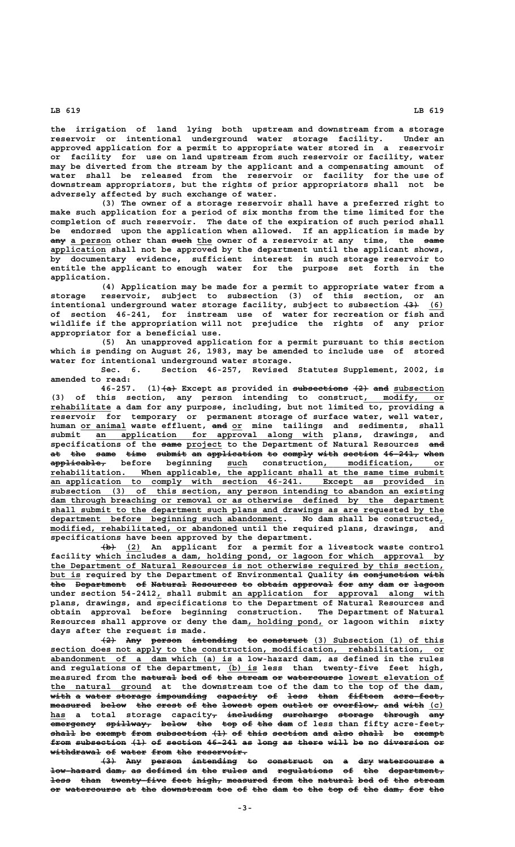**the irrigation of land lying both upstream and downstream from a storage reservoir or intentional underground water storage facility. Under an approved application for a permit to appropriate water stored in a reservoir or facility for use on land upstream from such reservoir or facility, water may be diverted from the stream by the applicant and a compensating amount of water shall be released from the reservoir or facility for the use of downstream appropriators, but the rights of prior appropriators shall not be adversely affected by such exchange of water.**

**(3) The owner of a storage reservoir shall have a preferred right to make such application for a period of six months from the time limited for the completion of such reservoir. The date of the expiration of such period shall be endorsed upon the application when allowed. If an application is made by**  $\frac{1}{2}$  a person other than <del>such</del> the owner of a reservoir at any time, the same application shall not be approved by the department until the applicant shows, **by documentary evidence, sufficient interest in such storage reservoir to entitle the applicant to enough water for the purpose set forth in the application.**

**(4) Application may be made for a permit to appropriate water from a storage reservoir, subject to subsection (3) of this section, or an** intentional underground water storage facility, subject to subsection  $\left(4\right)$  (6) **of section 46-241, for instream use of water for recreation or fish and wildlife if the appropriation will not prejudice the rights of any prior appropriator for a beneficial use.**

**(5) An unapproved application for a permit pursuant to this section which is pending on August 26, 1983, may be amended to include use of stored water for intentional underground water storage.**

**Sec. 6. Section 46-257, Revised Statutes Supplement, 2002, is amended to read:**

**46-257.** (1)  $\left\{\nabla \cdot \mathbf{A} + \mathbf{B} \cdot \mathbf{B} \right\}$  as provided in subsections  $\left\{\nabla \cdot \mathbf{A} + \mathbf{B} \cdot \mathbf{B} \right\}$  and subsection (3) of this section, any person intending to construct, modify, or  **\_\_\_\_\_\_\_\_\_\_\_\_ rehabilitate a dam for any purpose, including, but not limited to, providing a reservoir for temporary or permanent storage of surface water, well water, \_\_\_\_\_\_\_\_\_ ——— \_\_ human or animal waste effluent, and or mine tailings and sediments, shall \_\_\_\_\_\_\_\_\_\_\_\_\_\_\_\_\_\_\_\_\_\_\_\_\_\_\_\_\_\_\_\_\_\_\_\_\_\_\_\_\_\_\_\_\_ submit an application for approval along with plans, drawings, and ———— \_\_\_\_\_\_\_ ——— specifications of the same project to the Department of Natural Resources and** at the same time submit an application to comply with section 46-241, when<br>
applicable, before beginning such construction, <u>modification, or</u>  **——————————— \_\_\_\_ \_\_\_\_\_\_\_\_\_\_\_\_\_\_\_\_\_\_\_\_\_\_\_\_ applicable, before beginning such construction, modification, or \_\_\_\_\_\_\_\_\_\_\_\_\_\_\_\_\_\_\_\_\_\_\_\_\_\_\_\_\_\_\_\_\_\_\_\_\_\_\_\_\_\_\_\_\_\_\_\_\_\_\_\_\_\_\_\_\_\_\_\_\_\_\_\_\_\_\_\_\_\_\_\_\_\_\_\_\_\_ rehabilitation. When applicable, the applicant shall at the same time submit \_\_\_\_\_\_\_\_\_\_\_\_\_\_\_\_\_\_\_\_\_\_\_\_\_\_\_\_\_\_\_\_\_\_\_\_\_\_\_\_\_\_\_\_\_\_\_\_\_\_\_\_\_\_\_\_\_\_\_\_\_\_\_\_\_\_\_\_\_\_\_\_\_\_\_\_\_\_ an application to comply with section 46-241. Except as provided in \_\_\_\_\_\_\_\_\_\_\_\_\_\_\_\_\_\_\_\_\_\_\_\_\_\_\_\_\_\_\_\_\_\_\_\_\_\_\_\_\_\_\_\_\_\_\_\_\_\_\_\_\_\_\_\_\_\_\_\_\_\_\_\_\_\_\_\_\_\_\_\_\_\_\_\_\_\_ subsection (3) of this section, any person intending to abandon an existing** dam through breaching or removal or as otherwise defined by the department  **\_\_\_\_\_\_\_\_\_\_\_\_\_\_\_\_\_\_\_\_\_\_\_\_\_\_\_\_\_\_\_\_\_\_\_\_\_\_\_\_\_\_\_\_\_\_\_\_\_\_\_\_\_\_\_\_\_\_\_\_\_\_\_\_\_\_\_\_\_\_\_\_\_\_\_\_\_\_ shall submit to the department such plans and drawings as are requested by the**  $\frac{1}{2}$  department before beginning such abandonment. No dam shall be constructed,  **\_\_\_\_\_\_\_\_\_\_\_\_\_\_\_\_\_\_\_\_\_\_\_\_\_\_\_\_\_\_\_\_\_\_\_\_\_ modified, rehabilitated, or abandoned until the required plans, drawings, and specifications have been approved by the department.**

 **——— \_\_\_ (b) (2) An applicant for a permit for a livestock waste control** facility which includes a dam, holding pond, or lagoon for which approval by  **\_\_\_\_\_\_\_\_\_\_\_\_\_\_\_\_\_\_\_\_\_\_\_\_\_\_\_\_\_\_\_\_\_\_\_\_\_\_\_\_\_\_\_\_\_\_\_\_\_\_\_\_\_\_\_\_\_\_\_\_\_\_\_\_\_\_\_\_\_\_\_\_\_\_\_\_\_\_ the Department of Natural Resources is not otherwise required by this section,** but is required by the Department of Environmental Quality <del>in conjunction with</del> **the Department of Natural Resources to obtain approval for any dam or lagoon \_ \_\_\_\_\_\_\_\_\_\_\_\_\_\_\_\_\_\_\_\_\_\_\_\_\_\_\_\_\_\_\_\_\_\_\_\_\_\_\_\_\_\_ under section 54-2412, shall submit an application for approval along with plans, drawings, and specifications to the Department of Natural Resources and obtain approval before beginning construction. The Department of Natural \_\_\_\_\_\_\_\_\_\_\_\_\_\_\_ Resources shall approve or deny the dam, holding pond, or lagoon within sixty days after the request is made.**

 $\left(42\right)$  Any person intending to construct (3) Subsection (1) of this  **\_\_\_\_\_\_\_\_\_\_\_\_\_\_\_\_\_\_\_\_\_\_\_\_\_\_\_\_\_\_\_\_\_\_\_\_\_\_\_\_\_\_\_\_\_\_\_\_\_\_\_\_\_\_\_\_\_\_\_\_\_\_\_\_\_\_\_\_\_\_\_\_\_\_\_\_\_\_ section does not apply to the construction, modification, rehabilitation, or \_\_\_\_\_\_\_\_\_\_\_\_\_\_\_\_\_\_\_\_\_\_\_\_\_\_\_\_\_\_\_\_\_\_\_\_ abandonment of a dam which (a) is a low-hazard dam, as defined in the rules \_\_\_\_\_\_ and regulations of the department, (b) is less than twenty-five feet high,** measured from the natural bed of the stream or watercourse lowest elevation of the natural ground at the downstream toe of the dam to the top of the dam, with a water storage impounding capacity of less than fifteen acre-feet,  $\frac{1}{n}$  measured below the crest of the lowest open outlet or overflow, and with (c) **has a total storage capacity, including surcharge storage through any \_\_\_ — ————————— ————————— ——————— ——————— —— emergency spillway, below the top of the dam of less than fifty acre-feet, ————————— ————————— ————— ——— ——— —— ——— ———**  shall be exempt from subsection (1) of this section and also shall be exempt from subsection (1) of section 46-241 as long as there will be no diversion or  $w$ ithdrawal of water from the reservoir.

> $\overline{43}$  Any person intending to construct on a dry watercourse a  $1$ ow-hazard dam, as defined in the rules and regulations of the department, less than twenty-five feet high, measured from the natural bed of the stream or watercourse at the downstream toe of the dam to the top of the dam, for the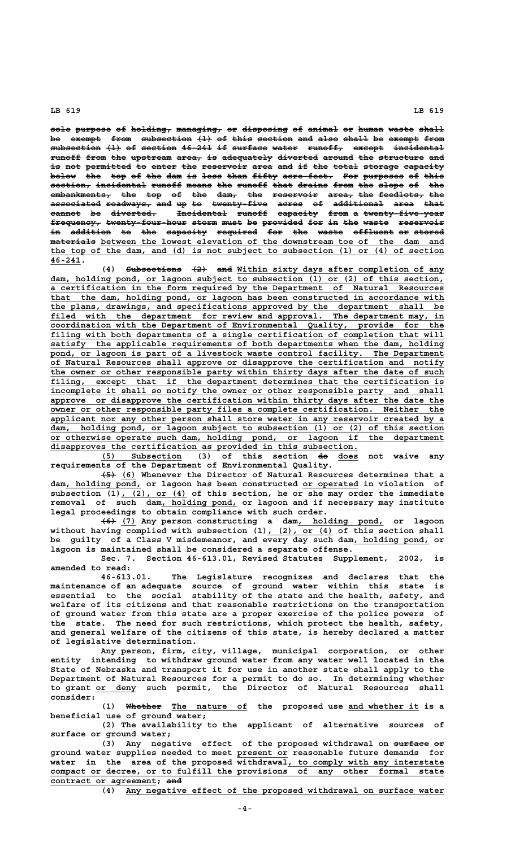sole purpose of holding, managing, or disposing of animal or human waste shall be exempt from subsection (1) of this section and also shall be exempt from  $\frac{1}{\text{subsection}}$  (1) of section 46-241 if surface water runoff, except incidental **runoff from the upstream area, is adequately diverted around the structure and —————— ———— ——— ———————— ————— —— —————————— ———————— —————— ——— ————————— ——** is not permitted to enter the reservoir area and if the total storage capacity below the top of the dam is less than fifty acre-feet. For purposes of this  $section_7$  incidental runoff means the runoff that drains from the slope of the **embankments, the top of the dam, the reservoir area, the feedlots, the ———————————— ——— ——— —— ——— ———— ——— ————————— ————— ——— ————————— —— associated roadways, and up to twenty-five acres of additional area that —————————— ————————— ——— —— —— ——————————— ————— —— —————————— ———— ——— cannot be diverted. Incidental runoff capacity from a twenty-five-year —————— —— ————————— —————————— —————— ———————— ———— — ——————————————— frequency, twenty-four-hour storm must be provided for in the waste reservoir —————————— ———————————————— ————— ———— —— ———————— ——— —— ——— ————— ———————— in addition to the capacity required for the waste effluent or stored —— ———————— —— ——— ———————— ———————— ——— ——— ————— ———————— —— —————— ————————— \_\_\_\_\_\_\_\_\_\_\_\_\_\_\_\_\_\_\_\_\_\_\_\_\_\_\_\_\_\_\_\_\_\_\_\_\_\_\_\_\_\_\_\_\_\_\_\_\_\_\_\_\_\_\_\_\_\_\_\_\_\_\_\_\_\_\_\_ materials between the lowest elevation of the downstream toe of the dam and \_\_\_\_\_\_\_\_\_\_\_\_\_\_\_\_\_\_\_\_\_\_\_\_\_\_\_\_\_\_\_\_\_\_\_\_\_\_\_\_\_\_\_\_\_\_\_\_\_\_\_\_\_\_\_\_\_\_\_\_\_\_\_\_\_\_\_\_\_\_\_\_\_\_\_\_\_\_ the top of the dam, and (d) is not subject to subsection (1) or (4) of section 46-241. \_\_\_\_\_\_**

(4) Subsections  $\{2\}$  and <u>Within sixty days after completion of any</u>  **\_\_\_\_\_\_\_\_\_\_\_\_\_\_\_\_\_\_\_\_\_\_\_\_\_\_\_\_\_\_\_\_\_\_\_\_\_\_\_\_\_\_\_\_\_\_\_\_\_\_\_\_\_\_\_\_\_\_\_\_\_\_\_\_\_\_\_\_\_\_\_\_\_\_\_\_\_\_ dam, holding pond, or lagoon subject to subsection (1) or (2) of this section, \_\_\_\_\_\_\_\_\_\_\_\_\_\_\_\_\_\_\_\_\_\_\_\_\_\_\_\_\_\_\_\_\_\_\_\_\_\_\_\_\_\_\_\_\_\_\_\_\_\_\_\_\_\_\_\_\_\_\_\_\_\_\_\_\_\_\_\_\_\_\_\_\_\_\_\_\_\_ a certification in the form required by the Department of Natural Resources \_\_\_\_\_\_\_\_\_\_\_\_\_\_\_\_\_\_\_\_\_\_\_\_\_\_\_\_\_\_\_\_\_\_\_\_\_\_\_\_\_\_\_\_\_\_\_\_\_\_\_\_\_\_\_\_\_\_\_\_\_\_\_\_\_\_\_\_\_\_\_\_\_\_\_\_\_\_ that the dam, holding pond, or lagoon has been constructed in accordance with \_\_\_\_\_\_\_\_\_\_\_\_\_\_\_\_\_\_\_\_\_\_\_\_\_\_\_\_\_\_\_\_\_\_\_\_\_\_\_\_\_\_\_\_\_\_\_\_\_\_\_\_\_\_\_\_\_\_\_\_\_\_\_\_\_\_\_\_\_\_\_\_\_\_\_\_\_\_ the plans, drawings, and specifications approved by the department shall be \_\_\_\_\_\_\_\_\_\_\_\_\_\_\_\_\_\_\_\_\_\_\_\_\_\_\_\_\_\_\_\_\_\_\_\_\_\_\_\_\_\_\_\_\_\_\_\_\_\_\_\_\_\_\_\_\_\_\_\_\_\_\_\_\_\_\_\_\_\_\_\_\_\_\_\_\_\_ filed with the department for review and approval. The department may, in \_\_\_\_\_\_\_\_\_\_\_\_\_\_\_\_\_\_\_\_\_\_\_\_\_\_\_\_\_\_\_\_\_\_\_\_\_\_\_\_\_\_\_\_\_\_\_\_\_\_\_\_\_\_\_\_\_\_\_\_\_\_\_\_\_\_\_\_\_\_\_\_\_\_\_\_\_\_ coordination with the Department of Environmental Quality, provide for the** filing with both departments of a single certification of completion that will  **\_\_\_\_\_\_\_\_\_\_\_\_\_\_\_\_\_\_\_\_\_\_\_\_\_\_\_\_\_\_\_\_\_\_\_\_\_\_\_\_\_\_\_\_\_\_\_\_\_\_\_\_\_\_\_\_\_\_\_\_\_\_\_\_\_\_\_\_\_\_\_\_\_\_\_\_\_\_ satisfy the applicable requirements of both departments when the dam, holding \_\_\_\_\_\_\_\_\_\_\_\_\_\_\_\_\_\_\_\_\_\_\_\_\_\_\_\_\_\_\_\_\_\_\_\_\_\_\_\_\_\_\_\_\_\_\_\_\_\_\_\_\_\_\_\_\_\_\_\_\_\_\_\_\_\_\_\_\_\_\_\_\_\_\_\_\_\_ pond, or lagoon is part of a livestock waste control facility. The Department \_\_\_\_\_\_\_\_\_\_\_\_\_\_\_\_\_\_\_\_\_\_\_\_\_\_\_\_\_\_\_\_\_\_\_\_\_\_\_\_\_\_\_\_\_\_\_\_\_\_\_\_\_\_\_\_\_\_\_\_\_\_\_\_\_\_\_\_\_\_\_\_\_\_\_\_\_\_ of Natural Resources shall approve or disapprove the certification and notify \_\_\_\_\_\_\_\_\_\_\_\_\_\_\_\_\_\_\_\_\_\_\_\_\_\_\_\_\_\_\_\_\_\_\_\_\_\_\_\_\_\_\_\_\_\_\_\_\_\_\_\_\_\_\_\_\_\_\_\_\_\_\_\_\_\_\_\_\_\_\_\_\_\_\_\_\_\_ the owner or other responsible party within thirty days after the date of such** filing, except that if the department determines that the certification is incomplete it shall so notify the owner or other responsible party and shall  **\_\_\_\_\_\_\_\_\_\_\_\_\_\_\_\_\_\_\_\_\_\_\_\_\_\_\_\_\_\_\_\_\_\_\_\_\_\_\_\_\_\_\_\_\_\_\_\_\_\_\_\_\_\_\_\_\_\_\_\_\_\_\_\_\_\_\_\_\_\_\_\_\_\_\_\_\_\_ approve or disapprove the certification within thirty days after the date the \_\_\_\_\_\_\_\_\_\_\_\_\_\_\_\_\_\_\_\_\_\_\_\_\_\_\_\_\_\_\_\_\_\_\_\_\_\_\_\_\_\_\_\_\_\_\_\_\_\_\_\_\_\_\_\_\_\_\_\_\_\_\_\_\_\_\_\_\_\_\_\_\_\_\_\_\_\_ owner or other responsible party files a complete certification. Neither the**  ${\tt applicant}$  nor any other person shall store water in any reservoir created by a  **\_\_\_\_\_\_\_\_\_\_\_\_\_\_\_\_\_\_\_\_\_\_\_\_\_\_\_\_\_\_\_\_\_\_\_\_\_\_\_\_\_\_\_\_\_\_\_\_\_\_\_\_\_\_\_\_\_\_\_\_\_\_\_\_\_\_\_\_\_\_\_\_\_\_\_\_\_\_ dam, holding pond, or lagoon subject to subsection (1) or (2) of this section \_\_\_\_\_\_\_\_\_\_\_\_\_\_\_\_\_\_\_\_\_\_\_\_\_\_\_\_\_\_\_\_\_\_\_\_\_\_\_\_\_\_\_\_\_\_\_\_\_\_\_\_\_\_\_\_\_\_\_\_\_\_\_\_\_\_\_\_\_\_\_\_\_\_\_\_\_\_ or otherwise operate such dam, holding pond, or lagoon if the department \_\_\_\_\_\_\_\_\_\_\_\_\_\_\_\_\_\_\_\_\_\_\_\_\_\_\_\_\_\_\_\_\_\_\_\_\_\_\_\_\_\_\_\_\_\_\_\_\_\_\_\_\_\_\_\_\_\_\_\_\_ disapproves the certification as provided in this subsection.**

 **\_\_\_\_\_\_\_\_\_\_\_\_\_\_\_\_ —— \_\_\_\_ (5) Subsection (3) of this section do does not waive any requirements of the Department of Environmental Quality.**

 **——— \_\_\_ (5) (6) Whenever the Director of Natural Resources determines that a \_\_\_\_\_\_\_\_\_\_\_\_\_\_\_ \_\_\_\_\_\_\_\_\_\_\_ dam, holding pond, or lagoon has been constructed or operated in violation of** subsection (1), (2), or (4) of this section, he or she may order the immediate removal of such dam<sub>,</sub> holding pond, or lagoon and if necessary may institute **legal proceedings to obtain compliance with such order.**

 **——— \_\_\_ \_\_\_\_\_\_\_\_\_\_\_\_\_\_\_\_\_ (6) (7) Any person constructing a dam, holding pond, or lagoon** without having complied with subsection (1), (2), or (4) of this section shall be guilty of a Class V misdemeanor, and every day such dam, holding pond, or **lagoon is maintained shall be considered a separate offense.**

**Sec. 7. Section 46-613.01, Revised Statutes Supplement, 2002, is amended to read:**

**46-613.01. The Legislature recognizes and declares that the maintenance of an adequate source of ground water within this state is essential to the social stability of the state and the health, safety, and welfare of its citizens and that reasonable restrictions on the transportation of ground water from this state are a proper exercise of the police powers of the state. The need for such restrictions, which protect the health, safety, and general welfare of the citizens of this state, is hereby declared a matter of legislative determination.**

**Any person, firm, city, village, municipal corporation, or other entity intending to withdraw ground water from any water well located in the State of Nebraska and transport it for use in another state shall apply to the Department of Natural Resources for a permit to do so. In determining whether \_\_\_\_\_\_\_\_ to grant or deny such permit, the Director of Natural Resources shall consider:**

(1) Whether The nature of the proposed use and whether it is a **beneficial use of ground water;**

**(2) The availability to the applicant of alternative sources of surface or ground water;**

(3) Any negative effect of the proposed withdrawal on surface or  **\_\_\_\_\_\_\_\_\_\_ ground water supplies needed to meet present or reasonable future demands for** water in the area of the proposed withdrawal, to comply with any interstate  **\_\_\_\_\_\_\_\_\_\_\_\_\_\_\_\_\_\_\_\_\_\_\_\_\_\_\_\_\_\_\_\_\_\_\_\_\_\_\_\_\_\_\_\_\_\_\_\_\_\_\_\_\_\_\_\_\_\_\_\_\_\_\_\_\_\_\_\_\_\_\_\_\_\_\_\_\_\_ compact or decree, or to fulfill the provisions of any other formal state \_\_\_\_\_\_\_\_\_\_\_\_\_\_\_\_\_\_\_\_\_ ——— contract or agreement; and**

 **\_\_\_\_\_\_\_\_\_\_\_\_\_\_\_\_\_\_\_\_\_\_\_\_\_\_\_\_\_\_\_\_\_\_\_\_\_\_\_\_\_\_\_\_\_\_\_\_\_\_\_\_\_\_\_\_\_\_\_\_\_\_\_ (4) Any negative effect of the proposed withdrawal on surface water**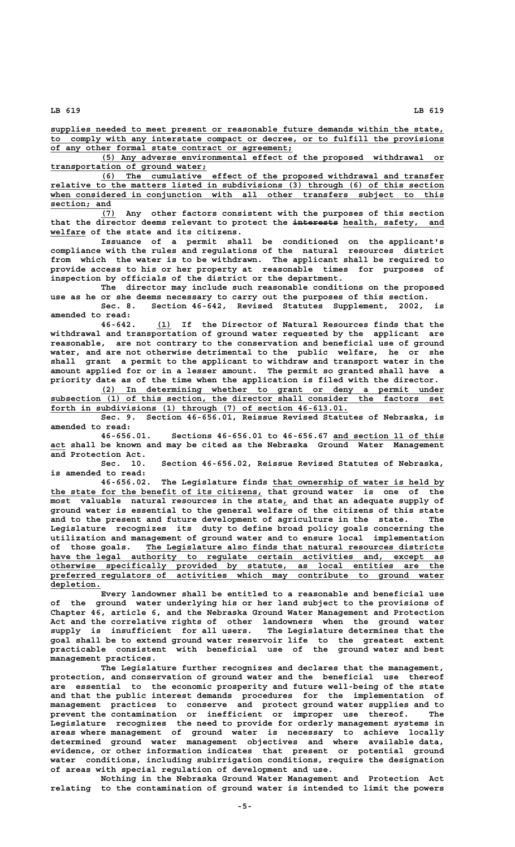**\_\_\_\_\_\_\_\_\_\_\_\_\_\_\_\_\_\_\_\_\_\_\_\_\_\_\_\_\_\_\_\_\_\_\_\_\_\_\_\_\_\_\_\_\_\_\_\_\_\_\_\_\_\_\_\_\_\_\_\_\_\_\_\_\_\_\_\_\_\_\_\_\_\_\_\_\_\_ supplies needed to meet present or reasonable future demands within the state, \_\_\_\_\_\_\_\_\_\_\_\_\_\_\_\_\_\_\_\_\_\_\_\_\_\_\_\_\_\_\_\_\_\_\_\_\_\_\_\_\_\_\_\_\_\_\_\_\_\_\_\_\_\_\_\_\_\_\_\_\_\_\_\_\_\_\_\_\_\_\_\_\_\_\_\_\_\_ to comply with any interstate compact or decree, or to fulfill the provisions \_\_\_\_\_\_\_\_\_\_\_\_\_\_\_\_\_\_\_\_\_\_\_\_\_\_\_\_\_\_\_\_\_\_\_\_\_\_\_\_\_\_\_\_\_\_\_\_ of any other formal state contract or agreement;**

 **\_\_\_\_\_\_\_\_\_\_\_\_\_\_\_\_\_\_\_\_\_\_\_\_\_\_\_\_\_\_\_\_\_\_\_\_\_\_\_\_\_\_\_\_\_\_\_\_\_\_\_\_\_\_\_\_\_\_\_\_\_\_\_\_\_\_\_\_ (5) Any adverse environmental effect of the proposed withdrawal or \_\_\_\_\_\_\_\_\_\_\_\_\_\_\_\_\_\_\_\_\_\_\_\_\_\_\_\_\_\_\_ transportation of ground water;**

 **\_\_\_\_\_\_\_\_\_\_\_\_\_\_\_\_\_\_\_\_\_\_\_\_\_\_\_\_\_\_\_\_\_\_\_\_\_\_\_\_\_\_\_\_\_\_\_\_\_\_\_\_\_\_\_\_\_\_\_\_\_\_\_\_\_\_\_\_ (6) The cumulative effect of the proposed withdrawal and transfer \_\_\_\_\_\_\_\_\_\_\_\_\_\_\_\_\_\_\_\_\_\_\_\_\_\_\_\_\_\_\_\_\_\_\_\_\_\_\_\_\_\_\_\_\_\_\_\_\_\_\_\_\_\_\_\_\_\_\_\_\_\_\_\_\_\_\_\_\_\_\_\_\_\_\_\_\_\_ relative to the matters listed in subdivisions (3) through (6) of this section \_\_\_\_\_\_\_\_\_\_\_\_\_\_\_\_\_\_\_\_\_\_\_\_\_\_\_\_\_\_\_\_\_\_\_\_\_\_\_\_\_\_\_\_\_\_\_\_\_\_\_\_\_\_\_\_\_\_\_\_\_\_\_\_\_\_\_\_\_\_\_\_\_\_\_\_\_\_ when considered in conjunction with all other transfers subject to this section; and \_\_\_\_\_\_\_\_\_\_\_\_**

 **\_\_\_ (7) Any other factors consistent with the purposes of this section** that the director deems relevant to protect the interests health, safety, and  **\_\_\_\_\_\_\_ welfare of the state and its citizens.**

**Issuance of a permit shall be conditioned on the applicant's compliance with the rules and regulations of the natural resources district from which the water is to be withdrawn. The applicant shall be required to provide access to his or her property at reasonable times for purposes of inspection by officials of the district or the department.**

**The director may include such reasonable conditions on the proposed use as he or she deems necessary to carry out the purposes of this section. Sec. 8. Section 46-642, Revised Statutes Supplement, 2002, is amended to read:**

 **\_\_\_ 46-642. (1) If the Director of Natural Resources finds that the withdrawal and transportation of ground water requested by the applicant are reasonable, are not contrary to the conservation and beneficial use of ground water, and are not otherwise detrimental to the public welfare, he or she shall grant a permit to the applicant to withdraw and transport water in the amount applied for or in a lesser amount. The permit so granted shall have a priority date as of the time when the application is filed with the director.**

 **\_\_\_\_\_\_\_\_\_\_\_\_\_\_\_\_\_\_\_\_\_\_\_\_\_\_\_\_\_\_\_\_\_\_\_\_\_\_\_\_\_\_\_\_\_\_\_\_\_\_\_\_\_\_\_\_\_\_\_\_\_\_\_\_\_\_\_\_ (2) In determining whether to grant or deny a permit under \_\_\_\_\_\_\_\_\_\_\_\_\_\_\_\_\_\_\_\_\_\_\_\_\_\_\_\_\_\_\_\_\_\_\_\_\_\_\_\_\_\_\_\_\_\_\_\_\_\_\_\_\_\_\_\_\_\_\_\_\_\_\_\_\_\_\_\_\_\_\_\_\_\_\_\_\_\_ subsection (1) of this section, the director shall consider the factors set** forth in subdivisions (1) through (7) of section  $46-613.01$ .

**Sec. 9. Section 46-656.01, Reissue Revised Statutes of Nebraska, is amended to read:**

**46-656.01. Sections 46-656.01 to 46-656.67 and section 11 of this \_\_\_\_\_\_\_\_\_\_\_\_\_\_\_\_\_\_\_\_\_\_ \_\_\_ act shall be known and may be cited as the Nebraska Ground Water Management and Protection Act.**

> **Sec. 10. Section 46-656.02, Reissue Revised Statutes of Nebraska, is amended to read:**

 **\_\_\_\_\_\_\_\_\_\_\_\_\_\_\_\_\_\_\_\_\_\_\_\_\_\_\_\_\_\_\_\_\_\_ 46-656.02. The Legislature finds that ownership of water is held by \_\_\_\_\_\_\_\_\_\_\_\_\_\_\_\_\_\_\_\_\_\_\_\_\_\_\_\_\_\_\_\_\_\_\_\_\_\_\_\_\_\_ the state for the benefit of its citizens, that ground water is one of the most valuable natural resources in the state, and that an adequate supply of \_ ground water is essential to the general welfare of the citizens of this state and to the present and future development of agriculture in the state. The Legislature recognizes its duty to define broad policy goals concerning the utilization and management of ground water and to ensure local implementation \_\_\_\_\_\_\_\_\_\_\_\_\_\_\_\_\_\_\_\_\_\_\_\_\_\_\_\_\_\_\_\_\_\_\_\_\_\_\_\_\_\_\_\_\_\_\_\_\_\_\_\_\_\_\_\_\_\_\_ of those goals. The Legislature also finds that natural resources districts** have the legal authority to regulate certain activities and, except as  **\_\_\_\_\_\_\_\_\_\_\_\_\_\_\_\_\_\_\_\_\_\_\_\_\_\_\_\_\_\_\_\_\_\_\_\_\_\_\_\_\_\_\_\_\_\_\_\_\_\_\_\_\_\_\_\_\_\_\_\_\_\_\_\_\_\_\_\_\_\_\_\_\_\_\_\_\_\_ otherwise specifically provided by statute, as local entities are the \_\_\_\_\_\_\_\_\_\_\_\_\_\_\_\_\_\_\_\_\_\_\_\_\_\_\_\_\_\_\_\_\_\_\_\_\_\_\_\_\_\_\_\_\_\_\_\_\_\_\_\_\_\_\_\_\_\_\_\_\_\_\_\_\_\_\_\_\_\_\_\_\_\_\_\_\_\_ preferred regulators of activities which may contribute to ground water depletion. \_\_\_\_\_\_\_\_\_\_**

**Every landowner shall be entitled to a reasonable and beneficial use of the ground water underlying his or her land subject to the provisions of Chapter 46, article 6, and the Nebraska Ground Water Management and Protection Act and the correlative rights of other landowners when the ground water supply is insufficient for all users. The Legislature determines that the goal shall be to extend ground water reservoir life to the greatest extent practicable consistent with beneficial use of the ground water and best management practices.**

**The Legislature further recognizes and declares that the management, protection, and conservation of ground water and the beneficial use thereof are essential to the economic prosperity and future well-being of the state and that the public interest demands procedures for the implementation of management practices to conserve and protect ground water supplies and to prevent the contamination or inefficient or improper use thereof. The Legislature recognizes the need to provide for orderly management systems in areas where management of ground water is necessary to achieve locally determined ground water management objectives and where available data, evidence, or other information indicates that present or potential ground water conditions, including subirrigation conditions, require the designation of areas with special regulation of development and use.**

**Nothing in the Nebraska Ground Water Management and Protection Act relating to the contamination of ground water is intended to limit the powers**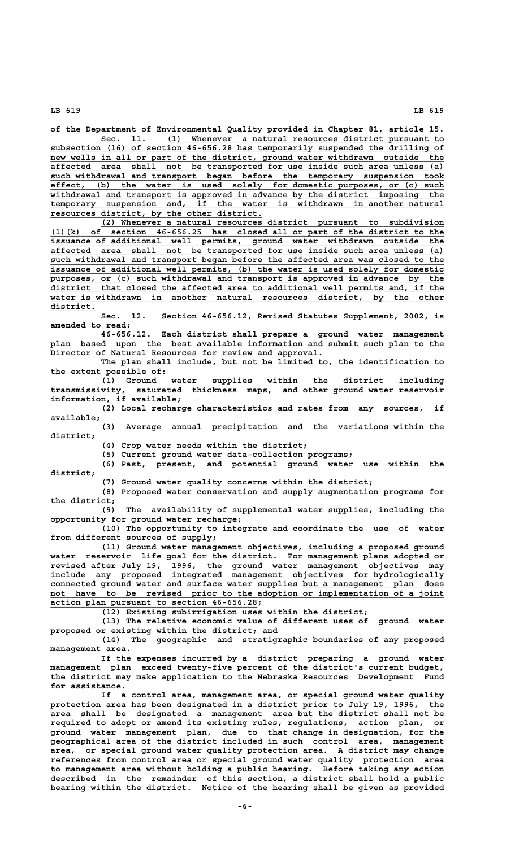**of the Department of Environmental Quality provided in Chapter 81, article 15.**

 **\_\_\_\_\_\_\_\_\_\_\_\_\_\_\_\_\_\_\_\_\_\_\_\_\_\_\_\_\_\_\_\_\_\_\_\_\_\_\_\_\_\_\_\_\_\_\_\_\_\_\_\_\_\_\_ Sec. 11. (1) Whenever a natural resources district pursuant to \_\_\_\_\_\_\_\_\_\_\_\_\_\_\_\_\_\_\_\_\_\_\_\_\_\_\_\_\_\_\_\_\_\_\_\_\_\_\_\_\_\_\_\_\_\_\_\_\_\_\_\_\_\_\_\_\_\_\_\_\_\_\_\_\_\_\_\_\_\_\_\_\_\_\_\_\_\_ subsection (16) of section 46-656.28 has temporarily suspended the drilling of**  $new$  wells in all or part of the district, ground water withdrawn outside the  **\_\_\_\_\_\_\_\_\_\_\_\_\_\_\_\_\_\_\_\_\_\_\_\_\_\_\_\_\_\_\_\_\_\_\_\_\_\_\_\_\_\_\_\_\_\_\_\_\_\_\_\_\_\_\_\_\_\_\_\_\_\_\_\_\_\_\_\_\_\_\_\_\_\_\_\_\_\_ affected area shall not be transported for use inside such area unless (a) \_\_\_\_\_\_\_\_\_\_\_\_\_\_\_\_\_\_\_\_\_\_\_\_\_\_\_\_\_\_\_\_\_\_\_\_\_\_\_\_\_\_\_\_\_\_\_\_\_\_\_\_\_\_\_\_\_\_\_\_\_\_\_\_\_\_\_\_\_\_\_\_\_\_\_\_\_\_ such withdrawal and transport began before the temporary suspension took \_\_\_\_\_\_\_\_\_\_\_\_\_\_\_\_\_\_\_\_\_\_\_\_\_\_\_\_\_\_\_\_\_\_\_\_\_\_\_\_\_\_\_\_\_\_\_\_\_\_\_\_\_\_\_\_\_\_\_\_\_\_\_\_\_\_\_\_\_\_\_\_\_\_\_\_\_\_ effect, (b) the water is used solely for domestic purposes, or (c) such \_\_\_\_\_\_\_\_\_\_\_\_\_\_\_\_\_\_\_\_\_\_\_\_\_\_\_\_\_\_\_\_\_\_\_\_\_\_\_\_\_\_\_\_\_\_\_\_\_\_\_\_\_\_\_\_\_\_\_\_\_\_\_\_\_\_\_\_\_\_\_\_\_\_\_\_\_\_ withdrawal and transport is approved in advance by the district imposing the** temporary suspension and, if the water is withdrawn in another natural  **\_\_\_\_\_\_\_\_\_\_\_\_\_\_\_\_\_\_\_\_\_\_\_\_\_\_\_\_\_\_\_\_\_\_\_\_\_\_\_\_\_\_ resources district, by the other district.**

 **\_\_\_\_\_\_\_\_\_\_\_\_\_\_\_\_\_\_\_\_\_\_\_\_\_\_\_\_\_\_\_\_\_\_\_\_\_\_\_\_\_\_\_\_\_\_\_\_\_\_\_\_\_\_\_\_\_\_\_\_\_\_\_\_\_\_\_\_ (2) Whenever a natural resources district pursuant to subdivision \_\_\_\_\_\_\_\_\_\_\_\_\_\_\_\_\_\_\_\_\_\_\_\_\_\_\_\_\_\_\_\_\_\_\_\_\_\_\_\_\_\_\_\_\_\_\_\_\_\_\_\_\_\_\_\_\_\_\_\_\_\_\_\_\_\_\_\_\_\_\_\_\_\_\_\_\_\_ (1)(k) of section 46-656.25 has closed all or part of the district to the \_\_\_\_\_\_\_\_\_\_\_\_\_\_\_\_\_\_\_\_\_\_\_\_\_\_\_\_\_\_\_\_\_\_\_\_\_\_\_\_\_\_\_\_\_\_\_\_\_\_\_\_\_\_\_\_\_\_\_\_\_\_\_\_\_\_\_\_\_\_\_\_\_\_\_\_\_\_ issuance of additional well permits, ground water withdrawn outside the \_\_\_\_\_\_\_\_\_\_\_\_\_\_\_\_\_\_\_\_\_\_\_\_\_\_\_\_\_\_\_\_\_\_\_\_\_\_\_\_\_\_\_\_\_\_\_\_\_\_\_\_\_\_\_\_\_\_\_\_\_\_\_\_\_\_\_\_\_\_\_\_\_\_\_\_\_\_ affected area shall not be transported for use inside such area unless (a) \_\_\_\_\_\_\_\_\_\_\_\_\_\_\_\_\_\_\_\_\_\_\_\_\_\_\_\_\_\_\_\_\_\_\_\_\_\_\_\_\_\_\_\_\_\_\_\_\_\_\_\_\_\_\_\_\_\_\_\_\_\_\_\_\_\_\_\_\_\_\_\_\_\_\_\_\_\_ such withdrawal and transport began before the affected area was closed to the \_\_\_\_\_\_\_\_\_\_\_\_\_\_\_\_\_\_\_\_\_\_\_\_\_\_\_\_\_\_\_\_\_\_\_\_\_\_\_\_\_\_\_\_\_\_\_\_\_\_\_\_\_\_\_\_\_\_\_\_\_\_\_\_\_\_\_\_\_\_\_\_\_\_\_\_\_\_ issuance of additional well permits, (b) the water is used solely for domestic** purposes, or (c) such withdrawal and transport is approved in advance by the  **\_\_\_\_\_\_\_\_\_\_\_\_\_\_\_\_\_\_\_\_\_\_\_\_\_\_\_\_\_\_\_\_\_\_\_\_\_\_\_\_\_\_\_\_\_\_\_\_\_\_\_\_\_\_\_\_\_\_\_\_\_\_\_\_\_\_\_\_\_\_\_\_\_\_\_\_\_\_ district that closed the affected area to additional well permits and, if the** water is withdrawn in another natural resources district, by the other  **district. \_\_\_\_\_\_\_\_\_**

**Sec. 12. Section 46-656.12, Revised Statutes Supplement, 2002, is amended to read:**

**46-656.12. Each district shall prepare a ground water management plan based upon the best available information and submit such plan to the Director of Natural Resources for review and approval.**

**The plan shall include, but not be limited to, the identification to the extent possible of:**

**(1) Ground water supplies within the district including transmissivity, saturated thickness maps, and other ground water reservoir information, if available;**

**(2) Local recharge characteristics and rates from any sources, if available;**

**(3) Average annual precipitation and the variations within the district;**

**(4) Crop water needs within the district;**

**(5) Current ground water data-collection programs;**

**(6) Past, present, and potential ground water use within the district;**

**(7) Ground water quality concerns within the district;**

**(8) Proposed water conservation and supply augmentation programs for the district;**

**(9) The availability of supplemental water supplies, including the opportunity for ground water recharge;**

**(10) The opportunity to integrate and coordinate the use of water from different sources of supply;**

**(11) Ground water management objectives, including a proposed ground water reservoir life goal for the district. For management plans adopted or revised after July 19, 1996, the ground water management objectives may include any proposed integrated management objectives for hydrologically** connected ground water and surface water supplies but a management plan does not have to be revised prior to the adoption or implementation of a joint  **\_\_\_\_\_\_\_\_\_\_\_\_\_\_\_\_\_\_\_\_\_\_\_\_\_\_\_\_\_\_\_\_\_\_\_\_\_\_\_\_\_ action plan pursuant to section 46-656.28;**

**(12) Existing subirrigation uses within the district;**

**(13) The relative economic value of different uses of ground water proposed or existing within the district; and**

**(14) The geographic and stratigraphic boundaries of any proposed management area.**

**If the expenses incurred by a district preparing a ground water management plan exceed twenty-five percent of the district's current budget, the district may make application to the Nebraska Resources Development Fund for assistance.**

**If a control area, management area, or special ground water quality protection area has been designated in a district prior to July 19, 1996, the area shall be designated a management area but the district shall not be required to adopt or amend its existing rules, regulations, action plan, or ground water management plan, due to that change in designation, for the geographical area of the district included in such control area, management area, or special ground water quality protection area. A district may change references from control area or special ground water quality protection area to management area without holding a public hearing. Before taking any action described in the remainder of this section, a district shall hold a public hearing within the district. Notice of the hearing shall be given as provided**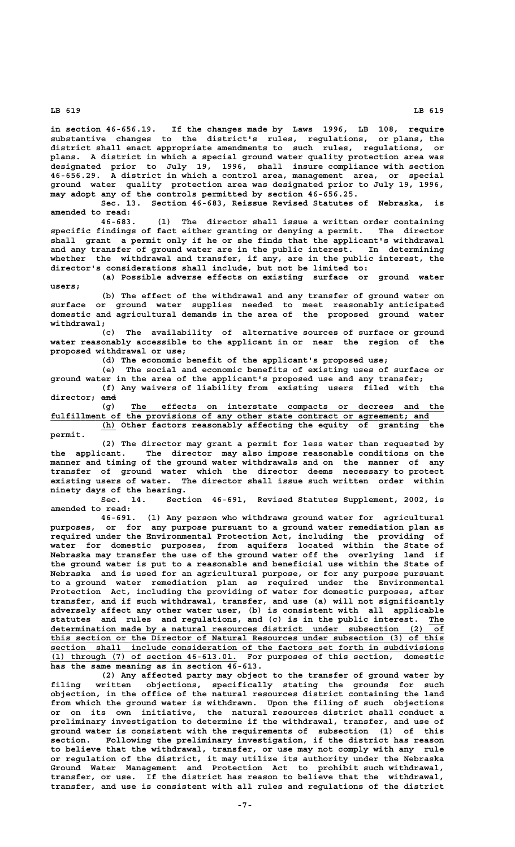**in section 46-656.19. If the changes made by Laws 1996, LB 108, require substantive changes to the district's rules, regulations, or plans, the district shall enact appropriate amendments to such rules, regulations, or plans. A district in which a special ground water quality protection area was designated prior to July 19, 1996, shall insure compliance with section 46-656.29. A district in which a control area, management area, or special ground water quality protection area was designated prior to July 19, 1996, may adopt any of the controls permitted by section 46-656.25.**

**Sec. 13. Section 46-683, Reissue Revised Statutes of Nebraska, is amended to read:**

**46-683. (1) The director shall issue a written order containing** specific findings of fact either granting or denying a permit. The director **shall grant a permit only if he or she finds that the applicant's withdrawal and any transfer of ground water are in the public interest. In determining whether the withdrawal and transfer, if any, are in the public interest, the director's considerations shall include, but not be limited to:**

**(a) Possible adverse effects on existing surface or ground water users;**

**(b) The effect of the withdrawal and any transfer of ground water on surface or ground water supplies needed to meet reasonably anticipated domestic and agricultural demands in the area of the proposed ground water withdrawal;**

**(c) The availability of alternative sources of surface or ground water reasonably accessible to the applicant in or near the region of the proposed withdrawal or use;**

**(d) The economic benefit of the applicant's proposed use;**

**(e) The social and economic benefits of existing uses of surface or ground water in the area of the applicant's proposed use and any transfer; (f) Any waivers of liability from existing users filed with the**

director; and

 **\_\_\_\_\_\_\_\_\_\_\_\_\_\_\_\_\_\_\_\_\_\_\_\_\_\_\_\_\_\_\_\_\_\_\_\_\_\_\_\_\_\_\_\_\_\_\_\_\_\_\_\_\_\_\_\_\_\_\_\_\_\_ (g) The effects on interstate compacts or decrees and the \_\_\_\_\_\_\_\_\_\_\_\_\_\_\_\_\_\_\_\_\_\_\_\_\_\_\_\_\_\_\_\_\_\_\_\_\_\_\_\_\_\_\_\_\_\_\_\_\_\_\_\_\_\_\_\_\_\_\_\_\_\_\_\_\_\_\_\_\_\_\_\_\_\_\_ fulfillment of the provisions of any other state contract or agreement; and**

 **\_\_\_ (h) Other factors reasonably affecting the equity of granting the permit.**

**(2) The director may grant a permit for less water than requested by the applicant. The director may also impose reasonable conditions on the manner and timing of the ground water withdrawals and on the manner of any transfer of ground water which the director deems necessary to protect existing users of water. The director shall issue such written order within ninety days of the hearing.**

**Sec. 14. Section 46-691, Revised Statutes Supplement, 2002, is amended to read:**

**46-691. (1) Any person who withdraws ground water for agricultural purposes, or for any purpose pursuant to a ground water remediation plan as required under the Environmental Protection Act, including the providing of water for domestic purposes, from aquifers located within the State of Nebraska may transfer the use of the ground water off the overlying land if the ground water is put to a reasonable and beneficial use within the State of Nebraska and is used for an agricultural purpose, or for any purpose pursuant to a ground water remediation plan as required under the Environmental Protection Act, including the providing of water for domestic purposes, after transfer, and if such withdrawal, transfer, and use (a) will not significantly adversely affect any other water user, (b) is consistent with all applicable statutes and rules and regulations, and (c) is in the public interest. The \_\_\_ \_\_\_\_\_\_\_\_\_\_\_\_\_\_\_\_\_\_\_\_\_\_\_\_\_\_\_\_\_\_\_\_\_\_\_\_\_\_\_\_\_\_\_\_\_\_\_\_\_\_\_\_\_\_\_\_\_\_\_\_\_\_\_\_\_\_\_\_\_\_\_\_\_\_\_\_\_\_ determination made by a natural resources district under subsection (2) of** this section or the Director of Natural Resources under subsection (3) of this  **\_\_\_\_\_\_\_\_\_\_\_\_\_\_\_\_\_\_\_\_\_\_\_\_\_\_\_\_\_\_\_\_\_\_\_\_\_\_\_\_\_\_\_\_\_\_\_\_\_\_\_\_\_\_\_\_\_\_\_\_\_\_\_\_\_\_\_\_\_\_\_\_\_\_\_\_\_\_ section shall include consideration of the factors set forth in subdivisions \_\_\_\_\_\_\_\_\_\_\_\_\_\_\_\_\_\_\_\_\_\_\_\_\_\_\_\_\_\_\_\_\_\_\_\_\_ (1) through (7) of section 46-613.01. For purposes of this section, domestic has the same meaning as in section 46-613.**

**(2) Any affected party may object to the transfer of ground water by filing written objections, specifically stating the grounds for such objection, in the office of the natural resources district containing the land from which the ground water is withdrawn. Upon the filing of such objections or on its own initiative, the natural resources district shall conduct a preliminary investigation to determine if the withdrawal, transfer, and use of ground water is consistent with the requirements of subsection (1) of this section. Following the preliminary investigation, if the district has reason to believe that the withdrawal, transfer, or use may not comply with any rule or regulation of the district, it may utilize its authority under the Nebraska Ground Water Management and Protection Act to prohibit such withdrawal, transfer, or use. If the district has reason to believe that the withdrawal, transfer, and use is consistent with all rules and regulations of the district**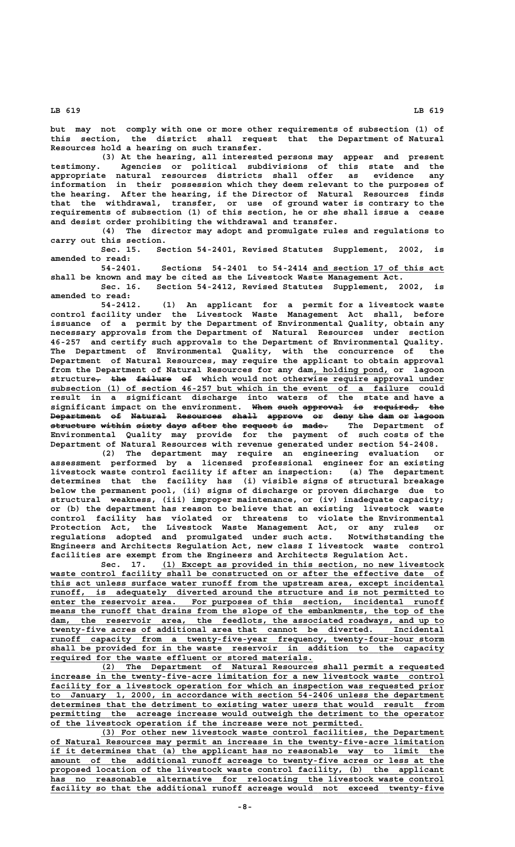**but may not comply with one or more other requirements of subsection (1) of this section, the district shall request that the Department of Natural Resources hold a hearing on such transfer.**

**(3) At the hearing, all interested persons may appear and present testimony. Agencies or political subdivisions of this state and the appropriate natural resources districts shall offer as evidence any information in their possession which they deem relevant to the purposes of the hearing. After the hearing, if the Director of Natural Resources finds that the withdrawal, transfer, or use of ground water is contrary to the requirements of subsection (1) of this section, he or she shall issue a cease and desist order prohibiting the withdrawal and transfer.**

**(4) The director may adopt and promulgate rules and regulations to carry out this section.**

**Sec. 15. Section 54-2401, Revised Statutes Supplement, 2002, is amended to read:**

Sections 54-2401 to 54-2414 and section 17 of this act **shall be known and may be cited as the Livestock Waste Management Act.**

**Sec. 16. Section 54-2412, Revised Statutes Supplement, 2002, is amended to read:**

**54-2412. (1) An applicant for a permit for a livestock waste control facility under the Livestock Waste Management Act shall, before issuance of a permit by the Department of Environmental Quality, obtain any necessary approvals from the Department of Natural Resources under section 46-257 and certify such approvals to the Department of Environmental Quality. The Department of Environmental Quality, with the concurrence of the Department of Natural Resources, may require the applicant to obtain approval** from the Department of Natural Resources for any dam, holding pond, or lagoon  $\tt{structure_7}$  the failure of which would not otherwise require approval under  **\_\_\_\_\_\_\_\_\_\_\_\_\_\_\_\_\_\_\_\_\_\_\_\_\_\_\_\_\_\_\_\_\_\_\_\_\_\_\_\_\_\_\_\_\_\_\_\_\_\_\_\_\_\_\_\_\_\_\_\_\_\_\_\_\_\_\_\_\_\_\_ subsection (1) of section 46-257 but which in the event of a failure could result in a significant discharge into waters of the state and have a**  $signal$  isignificant impact on the environment. When such approval is required, the **Department of Natural Resources shall approve or deny the dam or lagoon —————————— —— ——————— ————————— ————— ——————— —— ———— ——— ——— —— ————— structure within sixty days after the request is made. The Department of ————————— —————— ————— ———— ————— ——— ——————— —— ————— Environmental Quality may provide for the payment of such costs of the Department of Natural Resources with revenue generated under section 54-2408.**

**(2) The department may require an engineering evaluation or assessment performed by a licensed professional engineer for an existing livestock waste control facility if after an inspection: (a) The department determines that the facility has (i) visible signs of structural breakage below the permanent pool, (ii) signs of discharge or proven discharge due to structural weakness, (iii) improper maintenance, or (iv) inadequate capacity; or (b) the department has reason to believe that an existing livestock waste control facility has violated or threatens to violate the Environmental Protection Act, the Livestock Waste Management Act, or any rules or regulations adopted and promulgated under such acts. Notwithstanding the Engineers and Architects Regulation Act, new class I livestock waste control facilities are exempt from the Engineers and Architects Regulation Act.**

 **\_\_\_\_\_\_\_\_\_\_\_\_\_\_\_\_\_\_\_\_\_\_\_\_\_\_\_\_\_\_\_\_\_\_\_\_\_\_\_\_\_\_\_\_\_\_\_\_\_\_\_\_\_\_\_\_ Sec. 17. (1) Except as provided in this section, no new livestock** waste control facility shall be constructed on or after the effective date of  **\_\_\_\_\_\_\_\_\_\_\_\_\_\_\_\_\_\_\_\_\_\_\_\_\_\_\_\_\_\_\_\_\_\_\_\_\_\_\_\_\_\_\_\_\_\_\_\_\_\_\_\_\_\_\_\_\_\_\_\_\_\_\_\_\_\_\_\_\_\_\_\_\_\_\_\_\_\_ this act unless surface water runoff from the upstream area, except incidental \_\_\_\_\_\_\_\_\_\_\_\_\_\_\_\_\_\_\_\_\_\_\_\_\_\_\_\_\_\_\_\_\_\_\_\_\_\_\_\_\_\_\_\_\_\_\_\_\_\_\_\_\_\_\_\_\_\_\_\_\_\_\_\_\_\_\_\_\_\_\_\_\_\_\_\_\_\_ runoff, is adequately diverted around the structure and is not permitted to** enter the reservoir area. For purposes of this section, incidental runoff means the runoff that drains from the slope of the embankments, the top of the dam, the reservoir area, the feedlots, the associated roadways, and up to twenty-five acres of additional area that cannot be diverted. Incidental dam, the reservoir area, the feedlots, the associated roadwa<br>twenty-five acres of additional area that cannot be diverted.  **\_\_\_\_\_\_\_\_\_\_\_\_\_\_\_\_\_\_\_\_\_\_\_\_\_\_\_\_\_\_\_\_\_\_\_\_\_\_\_\_\_\_\_\_\_\_\_\_\_\_\_\_\_\_\_\_\_\_\_\_\_\_\_\_\_\_\_\_\_\_\_\_\_\_\_\_\_\_ runoff capacity from a twenty-five-year frequency, twenty-four-hour storm \_\_\_\_\_\_\_\_\_\_\_\_\_\_\_\_\_\_\_\_\_\_\_\_\_\_\_\_\_\_\_\_\_\_\_\_\_\_\_\_\_\_\_\_\_\_\_\_\_\_\_\_\_\_\_\_\_\_\_\_\_\_\_\_\_\_\_\_\_\_\_\_\_\_\_\_\_\_ shall be provided for in the waste reservoir in addition to the capacity \_\_\_\_\_\_\_\_\_\_\_\_\_\_\_\_\_\_\_\_\_\_\_\_\_\_\_\_\_\_\_\_\_\_\_\_\_\_\_\_\_\_\_\_\_\_\_\_\_\_\_\_ required for the waste effluent or stored materials.**

 **\_\_\_\_\_\_\_\_\_\_\_\_\_\_\_\_\_\_\_\_\_\_\_\_\_\_\_\_\_\_\_\_\_\_\_\_\_\_\_\_\_\_\_\_\_\_\_\_\_\_\_\_\_\_\_\_\_\_\_\_\_\_\_\_\_\_\_\_ (2) The Department of Natural Resources shall permit a requested \_\_\_\_\_\_\_\_\_\_\_\_\_\_\_\_\_\_\_\_\_\_\_\_\_\_\_\_\_\_\_\_\_\_\_\_\_\_\_\_\_\_\_\_\_\_\_\_\_\_\_\_\_\_\_\_\_\_\_\_\_\_\_\_\_\_\_\_\_\_\_\_\_\_\_\_\_\_ increase in the twenty-five-acre limitation for a new livestock waste control** facility for a livestock operation for which an inspection was requested prior  **\_\_\_\_\_\_\_\_\_\_\_\_\_\_\_\_\_\_\_\_\_\_\_\_\_\_\_\_\_\_\_\_\_\_\_\_\_\_\_\_\_\_\_\_\_\_\_\_\_\_\_\_\_\_\_\_\_\_\_\_\_\_\_\_\_\_\_\_\_\_\_\_\_\_\_\_\_\_ to January 1, 2000, in accordance with section 54-2406 unless the department \_\_\_\_\_\_\_\_\_\_\_\_\_\_\_\_\_\_\_\_\_\_\_\_\_\_\_\_\_\_\_\_\_\_\_\_\_\_\_\_\_\_\_\_\_\_\_\_\_\_\_\_\_\_\_\_\_\_\_\_\_\_\_\_\_\_\_\_\_\_\_\_\_\_\_\_\_\_ determines that the detriment to existing water users that would result from** permitting the acreage increase would outweigh the detriment to the operator  **\_\_\_\_\_\_\_\_\_\_\_\_\_\_\_\_\_\_\_\_\_\_\_\_\_\_\_\_\_\_\_\_\_\_\_\_\_\_\_\_\_\_\_\_\_\_\_\_\_\_\_\_\_\_\_\_\_\_\_\_\_\_ of the livestock operation if the increase were not permitted.**

 **\_\_\_\_\_\_\_\_\_\_\_\_\_\_\_\_\_\_\_\_\_\_\_\_\_\_\_\_\_\_\_\_\_\_\_\_\_\_\_\_\_\_\_\_\_\_\_\_\_\_\_\_\_\_\_\_\_\_\_\_\_\_\_\_\_\_\_\_ (3) For other new livestock waste control facilities, the Department \_\_\_\_\_\_\_\_\_\_\_\_\_\_\_\_\_\_\_\_\_\_\_\_\_\_\_\_\_\_\_\_\_\_\_\_\_\_\_\_\_\_\_\_\_\_\_\_\_\_\_\_\_\_\_\_\_\_\_\_\_\_\_\_\_\_\_\_\_\_\_\_\_\_\_\_\_\_ of Natural Resources may permit an increase in the twenty-five-acre limitation \_\_\_\_\_\_\_\_\_\_\_\_\_\_\_\_\_\_\_\_\_\_\_\_\_\_\_\_\_\_\_\_\_\_\_\_\_\_\_\_\_\_\_\_\_\_\_\_\_\_\_\_\_\_\_\_\_\_\_\_\_\_\_\_\_\_\_\_\_\_\_\_\_\_\_\_\_\_ if it determines that (a) the applicant has no reasonable way to limit the \_\_\_\_\_\_\_\_\_\_\_\_\_\_\_\_\_\_\_\_\_\_\_\_\_\_\_\_\_\_\_\_\_\_\_\_\_\_\_\_\_\_\_\_\_\_\_\_\_\_\_\_\_\_\_\_\_\_\_\_\_\_\_\_\_\_\_\_\_\_\_\_\_\_\_\_\_\_ amount of the additional runoff acreage to twenty-five acres or less at the \_\_\_\_\_\_\_\_\_\_\_\_\_\_\_\_\_\_\_\_\_\_\_\_\_\_\_\_\_\_\_\_\_\_\_\_\_\_\_\_\_\_\_\_\_\_\_\_\_\_\_\_\_\_\_\_\_\_\_\_\_\_\_\_\_\_\_\_\_\_\_\_\_\_\_\_\_\_ proposed location of the livestock waste control facility, (b) the applicant \_\_\_\_\_\_\_\_\_\_\_\_\_\_\_\_\_\_\_\_\_\_\_\_\_\_\_\_\_\_\_\_\_\_\_\_\_\_\_\_\_\_\_\_\_\_\_\_\_\_\_\_\_\_\_\_\_\_\_\_\_\_\_\_\_\_\_\_\_\_\_\_\_\_\_\_\_\_ has no reasonable alternative for relocating the livestock waste control \_\_\_\_\_\_\_\_\_\_\_\_\_\_\_\_\_\_\_\_\_\_\_\_\_\_\_\_\_\_\_\_\_\_\_\_\_\_\_\_\_\_\_\_\_\_\_\_\_\_\_\_\_\_\_\_\_\_\_\_\_\_\_\_\_\_\_\_\_\_\_\_\_\_\_\_\_\_ facility so that the additional runoff acreage would not exceed twenty-five**